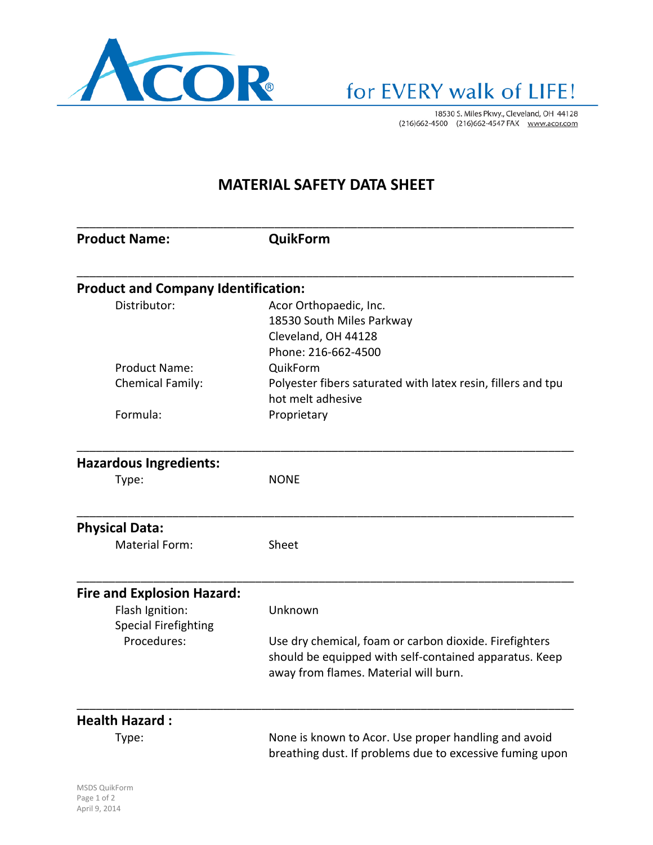

18530 S. Miles Pkwy., Cleveland, OH 44128<br>(216)662-4500 (216)662-4547 FAX www.acor.com

## **MATERIAL SAFETY DATA SHEET**

| <b>Product Name:</b>                           | QuikForm                                                                                                                                                  |
|------------------------------------------------|-----------------------------------------------------------------------------------------------------------------------------------------------------------|
| <b>Product and Company Identification:</b>     |                                                                                                                                                           |
| Distributor:                                   | Acor Orthopaedic, Inc.<br>18530 South Miles Parkway                                                                                                       |
|                                                | Cleveland, OH 44128<br>Phone: 216-662-4500                                                                                                                |
| <b>Product Name:</b>                           | QuikForm                                                                                                                                                  |
| Chemical Family:                               | Polyester fibers saturated with latex resin, fillers and tpu<br>hot melt adhesive                                                                         |
| Formula:                                       | Proprietary                                                                                                                                               |
| <b>Hazardous Ingredients:</b>                  |                                                                                                                                                           |
| Type:                                          | <b>NONE</b>                                                                                                                                               |
| <b>Physical Data:</b>                          |                                                                                                                                                           |
| Material Form:                                 | Sheet                                                                                                                                                     |
| <b>Fire and Explosion Hazard:</b>              |                                                                                                                                                           |
| Flash Ignition:<br><b>Special Firefighting</b> | Unknown                                                                                                                                                   |
| Procedures:                                    | Use dry chemical, foam or carbon dioxide. Firefighters<br>should be equipped with self-contained apparatus. Keep<br>away from flames. Material will burn. |
| <b>Health Hazard:</b>                          |                                                                                                                                                           |
| Type:                                          | None is known to Acor. Use proper handling and avoid<br>breathing dust. If problems due to excessive fuming upon                                          |